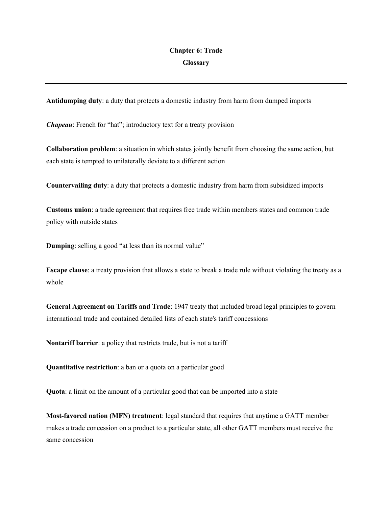## **Chapter 6: Trade Glossary**

**Antidumping duty**: a duty that protects a domestic industry from harm from dumped imports

*Chapeau*: French for "hat"; introductory text for a treaty provision

**Collaboration problem**: a situation in which states jointly benefit from choosing the same action, but each state is tempted to unilaterally deviate to a different action

**Countervailing duty**: a duty that protects a domestic industry from harm from subsidized imports

**Customs union**: a trade agreement that requires free trade within members states and common trade policy with outside states

**Dumping**: selling a good "at less than its normal value"

**Escape clause**: a treaty provision that allows a state to break a trade rule without violating the treaty as a whole

**General Agreement on Tariffs and Trade**: 1947 treaty that included broad legal principles to govern international trade and contained detailed lists of each state's tariff concessions

**Nontariff barrier**: a policy that restricts trade, but is not a tariff

**Quantitative restriction**: a ban or a quota on a particular good

**Quota**: a limit on the amount of a particular good that can be imported into a state

**Most-favored nation (MFN) treatment**: legal standard that requires that anytime a GATT member makes a trade concession on a product to a particular state, all other GATT members must receive the same concession